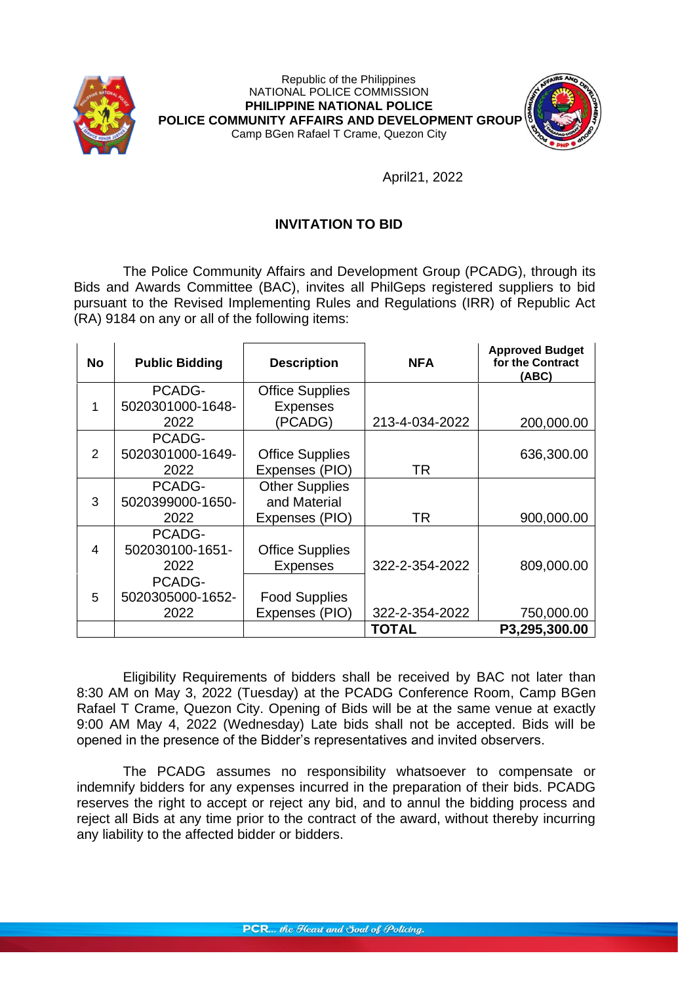



## April21, 2022

## **INVITATION TO BID**

The Police Community Affairs and Development Group (PCADG), through its Bids and Awards Committee (BAC), invites all PhilGeps registered suppliers to bid pursuant to the Revised Implementing Rules and Regulations (IRR) of Republic Act (RA) 9184 on any or all of the following items:

| <b>No</b> | <b>Public Bidding</b> | <b>Description</b>     | <b>NFA</b>     | <b>Approved Budget</b><br>for the Contract<br>(ABC) |
|-----------|-----------------------|------------------------|----------------|-----------------------------------------------------|
| 1         | PCADG-                | <b>Office Supplies</b> |                |                                                     |
|           | 5020301000-1648-      | <b>Expenses</b>        |                |                                                     |
|           | 2022                  | (PCADG)                | 213-4-034-2022 | 200,000.00                                          |
| 2         | PCADG-                |                        |                |                                                     |
|           | 5020301000-1649-      | <b>Office Supplies</b> |                | 636,300.00                                          |
|           | 2022                  | Expenses (PIO)         | TR             |                                                     |
| 3         | PCADG-                | <b>Other Supplies</b>  |                |                                                     |
|           | 5020399000-1650-      | and Material           |                |                                                     |
|           | 2022                  | Expenses (PIO)         | TR             | 900,000.00                                          |
| 4         | PCADG-                |                        |                |                                                     |
|           | 502030100-1651-       | <b>Office Supplies</b> |                |                                                     |
|           | 2022                  | <b>Expenses</b>        | 322-2-354-2022 | 809,000.00                                          |
| 5         | PCADG-                |                        |                |                                                     |
|           | 5020305000-1652-      | <b>Food Supplies</b>   |                |                                                     |
|           | 2022                  | Expenses (PIO)         | 322-2-354-2022 | 750,000.00                                          |
|           |                       |                        | <b>TOTAL</b>   | P3,295,300.00                                       |

Eligibility Requirements of bidders shall be received by BAC not later than 8:30 AM on May 3, 2022 (Tuesday) at the PCADG Conference Room, Camp BGen Rafael T Crame, Quezon City. Opening of Bids will be at the same venue at exactly 9:00 AM May 4, 2022 (Wednesday) Late bids shall not be accepted. Bids will be opened in the presence of the Bidder's representatives and invited observers.

The PCADG assumes no responsibility whatsoever to compensate or indemnify bidders for any expenses incurred in the preparation of their bids. PCADG reserves the right to accept or reject any bid, and to annul the bidding process and reject all Bids at any time prior to the contract of the award, without thereby incurring any liability to the affected bidder or bidders.